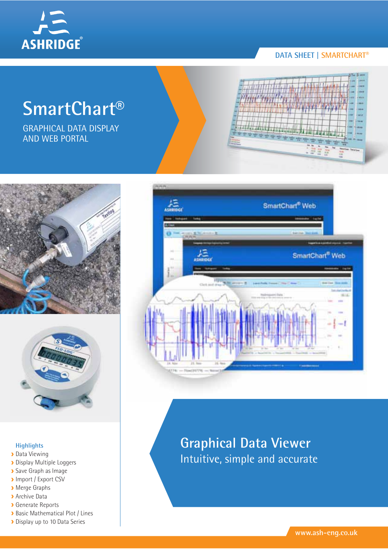

# **DATA SHEET | SMARTCHART®**

# **SmartChart®**

GRAPHICAL DATA DISPLAY AND WEB PORTAL







### **Highlights**

- Data Viewing
- **Display Multiple Loggers**
- Save Graph as Image
- **Import / Export CSV**
- Merge Graphs
- **Archive Data**
- Generate Reports
- **Basic Mathematical Plot / Lines**
- Display up to 10 Data Series



# **Graphical Data Viewer** Intuitive, simple and accurate